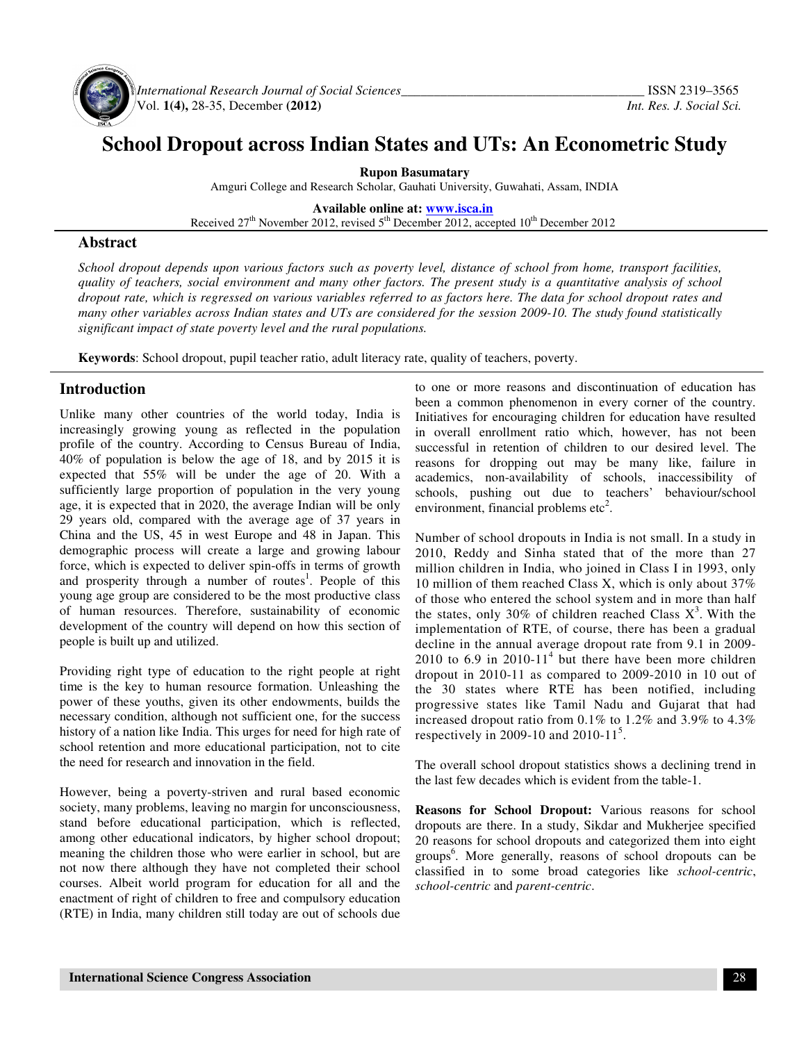

*International Research Journal of Social Sciences\_\_\_\_\_\_\_\_\_\_\_\_\_\_\_\_\_\_\_\_\_\_\_\_\_\_\_\_\_\_\_\_\_\_\_\_\_* ISSN 2319–3565 Vol. **1(4),** 28-35, December **(2012)** *Int. Res. J. Social Sci.* 

# **School Dropout across Indian States and UTs: An Econometric Study**

**Rupon Basumatary** 

Amguri College and Research Scholar, Gauhati University, Guwahati, Assam, INDIA

**Available online at: www.isca.in**

Received  $27<sup>th</sup>$  November 2012, revised  $5<sup>th</sup>$  December 2012, accepted 10<sup>th</sup> December 2012

#### **Abstract**

*School dropout depends upon various factors such as poverty level, distance of school from home, transport facilities, quality of teachers, social environment and many other factors. The present study is a quantitative analysis of school dropout rate, which is regressed on various variables referred to as factors here. The data for school dropout rates and many other variables across Indian states and UTs are considered for the session 2009-10. The study found statistically significant impact of state poverty level and the rural populations.* 

**Keywords**: School dropout, pupil teacher ratio, adult literacy rate, quality of teachers, poverty.

### **Introduction**

Unlike many other countries of the world today, India is increasingly growing young as reflected in the population profile of the country. According to Census Bureau of India, 40% of population is below the age of 18, and by 2015 it is expected that 55% will be under the age of 20. With a sufficiently large proportion of population in the very young age, it is expected that in 2020, the average Indian will be only 29 years old, compared with the average age of 37 years in China and the US, 45 in west Europe and 48 in Japan. This demographic process will create a large and growing labour force, which is expected to deliver spin-offs in terms of growth and prosperity through a number of routes<sup>1</sup>. People of this young age group are considered to be the most productive class of human resources. Therefore, sustainability of economic development of the country will depend on how this section of people is built up and utilized.

Providing right type of education to the right people at right time is the key to human resource formation. Unleashing the power of these youths, given its other endowments, builds the necessary condition, although not sufficient one, for the success history of a nation like India. This urges for need for high rate of school retention and more educational participation, not to cite the need for research and innovation in the field.

However, being a poverty-striven and rural based economic society, many problems, leaving no margin for unconsciousness, stand before educational participation, which is reflected, among other educational indicators, by higher school dropout; meaning the children those who were earlier in school, but are not now there although they have not completed their school courses. Albeit world program for education for all and the enactment of right of children to free and compulsory education (RTE) in India, many children still today are out of schools due to one or more reasons and discontinuation of education has been a common phenomenon in every corner of the country. Initiatives for encouraging children for education have resulted in overall enrollment ratio which, however, has not been successful in retention of children to our desired level. The reasons for dropping out may be many like, failure in academics, non-availability of schools, inaccessibility of schools, pushing out due to teachers' behaviour/school environment, financial problems  $etc<sup>2</sup>$ .

Number of school dropouts in India is not small. In a study in 2010, Reddy and Sinha stated that of the more than 27 million children in India, who joined in Class I in 1993, only 10 million of them reached Class X, which is only about 37% of those who entered the school system and in more than half the states, only 30% of children reached Class  $X^3$ . With the implementation of RTE, of course, there has been a gradual decline in the annual average dropout rate from 9.1 in 2009- 2010 to  $6.9$  in 2010-11<sup>4</sup> but there have been more children dropout in 2010-11 as compared to 2009-2010 in 10 out of the 30 states where RTE has been notified, including progressive states like Tamil Nadu and Gujarat that had increased dropout ratio from 0.1% to 1.2% and 3.9% to 4.3% respectively in 2009-10 and 2010-11<sup>5</sup>.

The overall school dropout statistics shows a declining trend in the last few decades which is evident from the table-1.

**Reasons for School Dropout:** Various reasons for school dropouts are there. In a study, Sikdar and Mukherjee specified 20 reasons for school dropouts and categorized them into eight groups<sup>6</sup>. More generally, reasons of school dropouts can be classified in to some broad categories like *school-centric*, *school-centric* and *parent-centric*.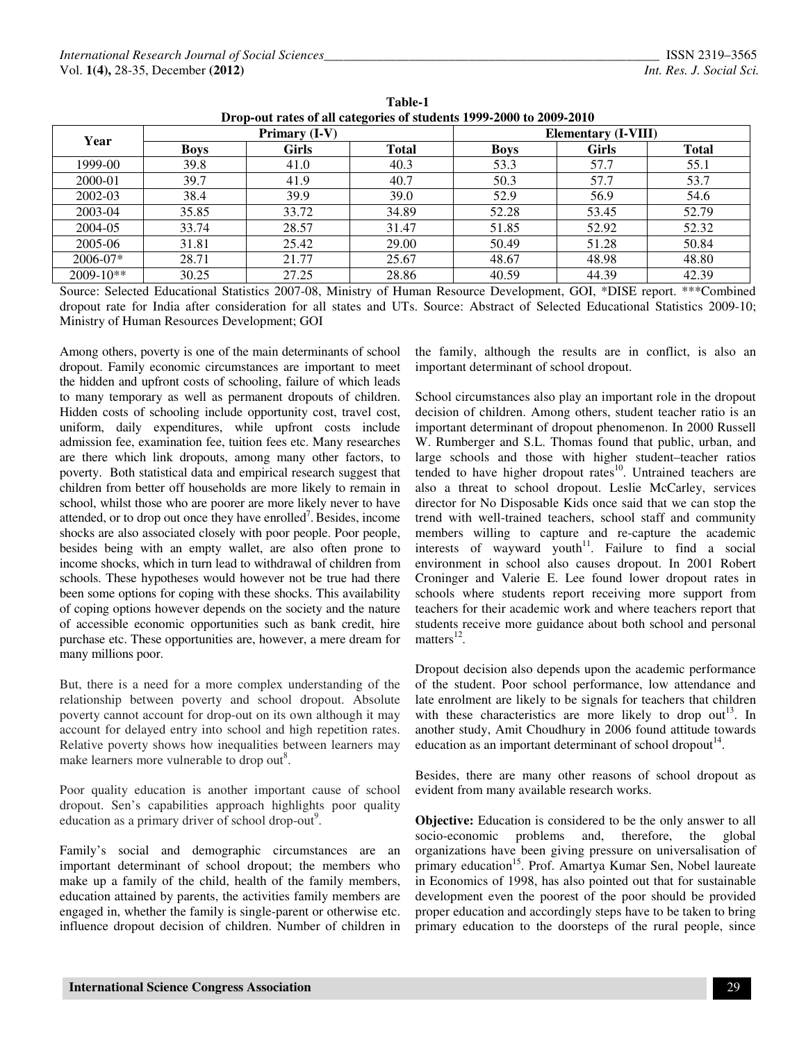| Year        |             | Primary (I-V) |              | <b>Elementary (I-VIII)</b> |              |              |  |
|-------------|-------------|---------------|--------------|----------------------------|--------------|--------------|--|
|             | <b>Boys</b> | Girls         | <b>Total</b> | <b>Boys</b>                | <b>Girls</b> | <b>Total</b> |  |
| 1999-00     | 39.8        | 41.0          | 40.3         | 53.3                       | 57.7         | 55.1         |  |
| 2000-01     | 39.7        | 41.9          | 40.7         | 50.3                       | 57.7         | 53.7         |  |
| 2002-03     | 38.4        | 39.9          | 39.0         | 52.9                       | 56.9         | 54.6         |  |
| 2003-04     | 35.85       | 33.72         | 34.89        | 52.28                      | 53.45        | 52.79        |  |
| 2004-05     | 33.74       | 28.57         | 31.47        | 51.85                      | 52.92        | 52.32        |  |
| 2005-06     | 31.81       | 25.42         | 29.00        | 50.49                      | 51.28        | 50.84        |  |
| 2006-07*    | 28.71       | 21.77         | 25.67        | 48.67                      | 48.98        | 48.80        |  |
| $2009-10**$ | 30.25       | 27.25         | 28.86        | 40.59                      | 44.39        | 42.39        |  |
|             |             |               |              |                            |              |              |  |

**Table-1 Drop-out rates of all categories of students 1999-2000 to 2009-2010** 

Source: Selected Educational Statistics 2007-08, Ministry of Human Resource Development, GOI, \*DISE report. \*\*\*Combined dropout rate for India after consideration for all states and UTs. Source: Abstract of Selected Educational Statistics 2009-10; Ministry of Human Resources Development; GOI

Among others, poverty is one of the main determinants of school dropout. Family economic circumstances are important to meet the hidden and upfront costs of schooling, failure of which leads to many temporary as well as permanent dropouts of children. Hidden costs of schooling include opportunity cost, travel cost, uniform, daily expenditures, while upfront costs include admission fee, examination fee, tuition fees etc. Many researches are there which link dropouts, among many other factors, to poverty. Both statistical data and empirical research suggest that children from better off households are more likely to remain in school, whilst those who are poorer are more likely never to have attended, or to drop out once they have enrolled<sup>7</sup>. Besides, income shocks are also associated closely with poor people. Poor people, besides being with an empty wallet, are also often prone to income shocks, which in turn lead to withdrawal of children from schools. These hypotheses would however not be true had there been some options for coping with these shocks. This availability of coping options however depends on the society and the nature of accessible economic opportunities such as bank credit, hire purchase etc. These opportunities are, however, a mere dream for many millions poor.

But, there is a need for a more complex understanding of the relationship between poverty and school dropout. Absolute poverty cannot account for drop-out on its own although it may account for delayed entry into school and high repetition rates. Relative poverty shows how inequalities between learners may make learners more vulnerable to drop out<sup>8</sup>.

Poor quality education is another important cause of school dropout. Sen's capabilities approach highlights poor quality education as a primary driver of school drop-out<sup>9</sup>.

Family's social and demographic circumstances are an important determinant of school dropout; the members who make up a family of the child, health of the family members, education attained by parents, the activities family members are engaged in, whether the family is single-parent or otherwise etc. influence dropout decision of children. Number of children in

the family, although the results are in conflict, is also an important determinant of school dropout.

School circumstances also play an important role in the dropout decision of children. Among others, student teacher ratio is an important determinant of dropout phenomenon. In 2000 Russell W. Rumberger and S.L. Thomas found that public, urban, and large schools and those with higher student–teacher ratios tended to have higher dropout rates<sup>10</sup>. Untrained teachers are also a threat to school dropout. Leslie McCarley, services director for No Disposable Kids once said that we can stop the trend with well-trained teachers, school staff and community members willing to capture and re-capture the academic interests of wayward youth<sup>11</sup>. Failure to find a social environment in school also causes dropout. In 2001 Robert Croninger and Valerie E. Lee found lower dropout rates in schools where students report receiving more support from teachers for their academic work and where teachers report that students receive more guidance about both school and personal matters $^{12}$ .

Dropout decision also depends upon the academic performance of the student. Poor school performance, low attendance and late enrolment are likely to be signals for teachers that children with these characteristics are more likely to drop out<sup>13</sup>. In another study, Amit Choudhury in 2006 found attitude towards education as an important determinant of school dropout<sup>14</sup>.

Besides, there are many other reasons of school dropout as evident from many available research works.

**Objective:** Education is considered to be the only answer to all socio-economic problems and, therefore, the global organizations have been giving pressure on universalisation of primary education<sup>15</sup>. Prof. Amartya Kumar Sen, Nobel laureate in Economics of 1998, has also pointed out that for sustainable development even the poorest of the poor should be provided proper education and accordingly steps have to be taken to bring primary education to the doorsteps of the rural people, since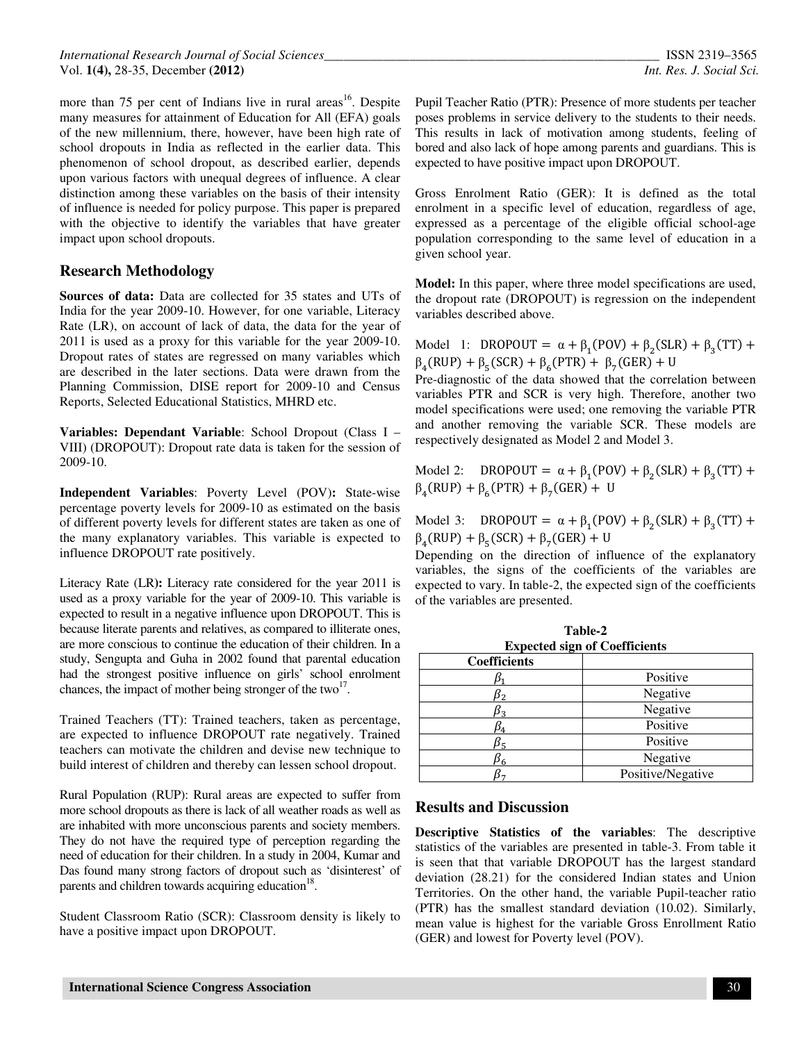more than 75 per cent of Indians live in rural areas<sup>16</sup>. Despite many measures for attainment of Education for All (EFA) goals of the new millennium, there, however, have been high rate of school dropouts in India as reflected in the earlier data. This phenomenon of school dropout, as described earlier, depends upon various factors with unequal degrees of influence. A clear distinction among these variables on the basis of their intensity of influence is needed for policy purpose. This paper is prepared with the objective to identify the variables that have greater impact upon school dropouts.

# **Research Methodology**

**Sources of data:** Data are collected for 35 states and UTs of India for the year 2009-10. However, for one variable, Literacy Rate (LR), on account of lack of data, the data for the year of 2011 is used as a proxy for this variable for the year 2009-10. Dropout rates of states are regressed on many variables which are described in the later sections. Data were drawn from the Planning Commission, DISE report for 2009-10 and Census Reports, Selected Educational Statistics, MHRD etc.

**Variables: Dependant Variable**: School Dropout (Class I – VIII) (DROPOUT): Dropout rate data is taken for the session of 2009-10.

**Independent Variables**: Poverty Level (POV)**:** State-wise percentage poverty levels for 2009-10 as estimated on the basis of different poverty levels for different states are taken as one of the many explanatory variables. This variable is expected to influence DROPOUT rate positively.

Literacy Rate (LR**):** Literacy rate considered for the year 2011 is used as a proxy variable for the year of 2009-10. This variable is expected to result in a negative influence upon DROPOUT. This is because literate parents and relatives, as compared to illiterate ones, are more conscious to continue the education of their children. In a study, Sengupta and Guha in 2002 found that parental education had the strongest positive influence on girls' school enrolment chances, the impact of mother being stronger of the two $^{17}$ .

Trained Teachers (TT): Trained teachers, taken as percentage, are expected to influence DROPOUT rate negatively. Trained teachers can motivate the children and devise new technique to build interest of children and thereby can lessen school dropout.

Rural Population (RUP): Rural areas are expected to suffer from more school dropouts as there is lack of all weather roads as well as are inhabited with more unconscious parents and society members. They do not have the required type of perception regarding the need of education for their children. In a study in 2004, Kumar and Das found many strong factors of dropout such as 'disinterest' of parents and children towards acquiring education<sup>18</sup>.

Student Classroom Ratio (SCR): Classroom density is likely to have a positive impact upon DROPOUT.

Pupil Teacher Ratio (PTR): Presence of more students per teacher poses problems in service delivery to the students to their needs. This results in lack of motivation among students, feeling of bored and also lack of hope among parents and guardians. This is expected to have positive impact upon DROPOUT.

Gross Enrolment Ratio (GER): It is defined as the total enrolment in a specific level of education, regardless of age, expressed as a percentage of the eligible official school-age population corresponding to the same level of education in a given school year.

**Model:** In this paper, where three model specifications are used, the dropout rate (DROPOUT) is regression on the independent variables described above.

Model 1: DROPOUT =  $\alpha + \beta_1(POV) + \beta_2(SLR) + \beta_3(TT) +$  $\beta_4(RUP) + \beta_5(SCR) + \beta_6(PTR) + \beta_7(GER) + U$ 

Pre-diagnostic of the data showed that the correlation between variables PTR and SCR is very high. Therefore, another two model specifications were used; one removing the variable PTR and another removing the variable SCR. These models are respectively designated as Model 2 and Model 3.

Model 2: DROPOUT =  $\alpha + \beta_1(POV) + \beta_2(SLR) + \beta_3(TT) +$  $\beta_4$ (RUP) +  $\beta_6$ (PTR) +  $\beta_7$ (GER) + U

Model 3: DROPOUT =  $\alpha + \beta_1(POV) + \beta_2(SLR) + \beta_3(TT) +$  $\beta_4(RUP) + \beta_5(SCR) + \beta_7(GER) + U$ 

Depending on the direction of influence of the explanatory variables, the signs of the coefficients of the variables are expected to vary. In table-2, the expected sign of the coefficients of the variables are presented.

| <b>Expected sign of Coefficients</b> |                   |  |  |  |  |  |
|--------------------------------------|-------------------|--|--|--|--|--|
| <b>Coefficients</b>                  |                   |  |  |  |  |  |
|                                      | Positive          |  |  |  |  |  |
|                                      | Negative          |  |  |  |  |  |
|                                      | Negative          |  |  |  |  |  |
|                                      | Positive          |  |  |  |  |  |
| λ5                                   | Positive          |  |  |  |  |  |
|                                      | Negative          |  |  |  |  |  |
|                                      | Positive/Negative |  |  |  |  |  |

# **Table-2**

# **Results and Discussion**

**Descriptive Statistics of the variables**: The descriptive statistics of the variables are presented in table-3. From table it is seen that that variable DROPOUT has the largest standard deviation (28.21) for the considered Indian states and Union Territories. On the other hand, the variable Pupil-teacher ratio (PTR) has the smallest standard deviation (10.02). Similarly, mean value is highest for the variable Gross Enrollment Ratio (GER) and lowest for Poverty level (POV).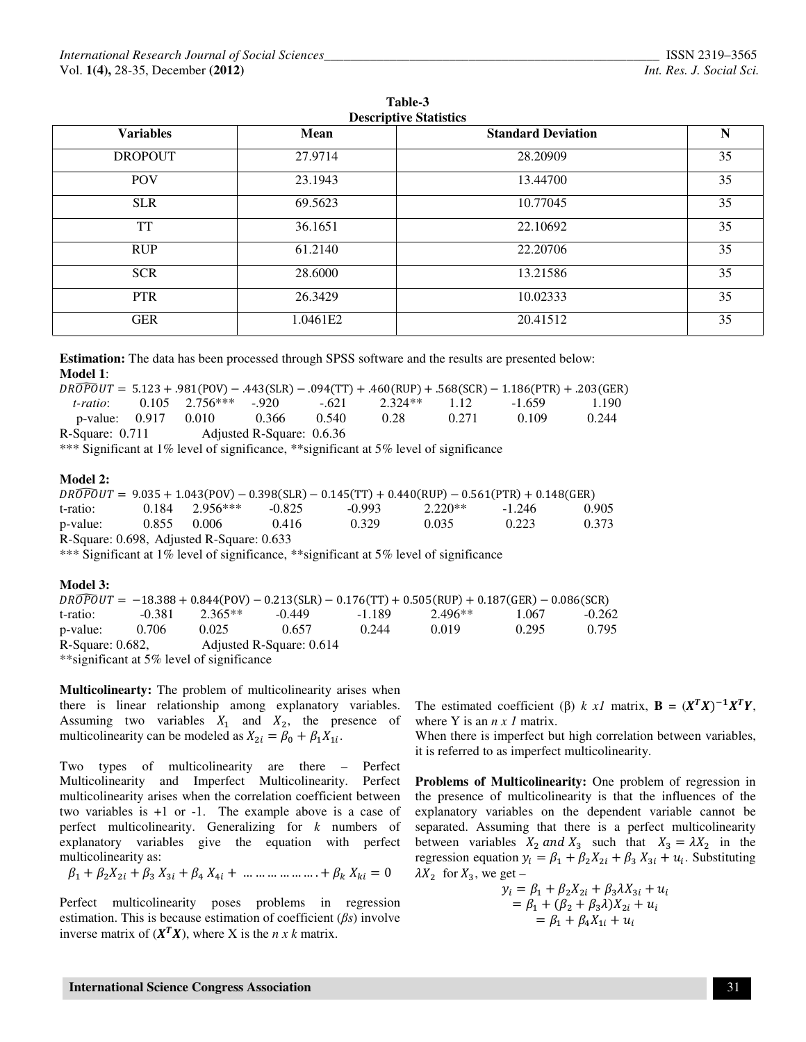| <b>Variables</b> | Mean     | <b>Standard Deviation</b> | N  |
|------------------|----------|---------------------------|----|
| <b>DROPOUT</b>   | 27.9714  | 28.20909                  | 35 |
| <b>POV</b>       | 23.1943  | 13.44700                  | 35 |
| <b>SLR</b>       | 69.5623  | 10.77045                  | 35 |
| <b>TT</b>        | 36.1651  | 22.10692                  | 35 |
| <b>RUP</b>       | 61.2140  | 22.20706                  | 35 |
| <b>SCR</b>       | 28.6000  | 13.21586                  | 35 |
| <b>PTR</b>       | 26.3429  | 10.02333                  | 35 |
| <b>GER</b>       | 1.0461E2 | 20.41512                  | 35 |

**Table-3** 

**Estimation:** The data has been processed through SPSS software and the results are presented below: **Model 1**:

|                   |                            |                           |       |      |       | $DROPOUT = 5.123 + .981(POV) - .443(SLR) - .094(TT) + .460(RUP) + .568(SCR) - 1.186(PTR) + .203(GER)$ |       |
|-------------------|----------------------------|---------------------------|-------|------|-------|-------------------------------------------------------------------------------------------------------|-------|
|                   |                            |                           |       |      |       | t-ratio: 0.105 2.756*** -920 -621 2.324** 1.12 -1.659                                                 | 1.190 |
|                   | p-value: 0.917 0.010 0.366 |                           | 0.540 | 0.28 | 0.271 | 0.109                                                                                                 | 0.244 |
| R-Square: $0.711$ |                            | Adjusted R-Square: 0.6.36 |       |      |       |                                                                                                       |       |

\*\*\* Significant at 1% level of significance, \*\*significant at 5% level of significance

#### **Model 2:**

|                                           |  |                    |          | $DROPOUT = 9.035 + 1.043(POV) - 0.398(SLR) - 0.145(TT) + 0.440(RUP) - 0.561(PTR) + 0.148(GER)$ |           |          |       |  |  |
|-------------------------------------------|--|--------------------|----------|------------------------------------------------------------------------------------------------|-----------|----------|-------|--|--|
| t-ratio:                                  |  | $0.184$ $2.956***$ | $-0.825$ | $-0.993$                                                                                       | $2.220**$ | $-1.246$ | 0.905 |  |  |
| p-value:                                  |  | 0.855 0.006        | 0.416    | 0.329                                                                                          | 0.035     | 0.223    | 0.373 |  |  |
| R-Square: 0.698, Adjusted R-Square: 0.633 |  |                    |          |                                                                                                |           |          |       |  |  |

\*\*\* Significant at 1% level of significance, \*\*significant at 5% level of significance

#### **Model 3:**

|                                                 |          |           |          |       | $DROPOUT = -18.388 + 0.844 (POV) - 0.213 (SLR) - 0.176 (TT) + 0.505 (RUP) + 0.187 (GER) - 0.086 (SCR)$ |       |          |  |  |
|-------------------------------------------------|----------|-----------|----------|-------|--------------------------------------------------------------------------------------------------------|-------|----------|--|--|
| t-ratio:                                        | $-0.381$ | $2.365**$ | $-0.449$ | -1189 | $2.496**$                                                                                              | 1.067 | $-0.262$ |  |  |
| p-value:                                        | 0.706    | 0.025     | 0.657    | 0.244 | 0.019                                                                                                  | 0.295 | 0.795    |  |  |
| $R-Square: 0.682$ ,<br>Adjusted R-Square: 0.614 |          |           |          |       |                                                                                                        |       |          |  |  |
| ** significant at 5% level of significance      |          |           |          |       |                                                                                                        |       |          |  |  |

**Multicolinearty:** The problem of multicolinearity arises when there is linear relationship among explanatory variables. Assuming two variables  $X_1$  and  $X_2$ , the presence of multicolinearity can be modeled as  $X_{2i} = \beta_0 + \beta_1 X_{1i}$ .

Two types of multicolinearity are there – Perfect Multicolinearity and Imperfect Multicolinearity. Perfect multicolinearity arises when the correlation coefficient between two variables is +1 or -1. The example above is a case of perfect multicolinearity. Generalizing for *k* numbers of explanatory variables give the equation with perfect multicolinearity as:

$$
\beta_1 + \beta_2 X_{2i} + \beta_3 X_{3i} + \beta_4 X_{4i} + \dots + \dots + \beta_k X_{ki} = 0
$$

Perfect multicolinearity poses problems in regression estimation. This is because estimation of coefficient (β*s*) involve inverse matrix of  $(X^T X)$ , where X is the *n x k* matrix.

The estimated coefficient ( $\beta$ ) *k x1* matrix, **B** =  $(X^T X)^{-1} X^T Y$ , where Y is an *n x 1* matrix.

When there is imperfect but high correlation between variables, it is referred to as imperfect multicolinearity.

**Problems of Multicolinearity:** One problem of regression in the presence of multicolinearity is that the influences of the explanatory variables on the dependent variable cannot be separated. Assuming that there is a perfect multicolinearity between variables  $X_2$  and  $X_3$  such that  $X_3 = \lambda X_2$  in the regression equation  $y_i = \beta_1 + \beta_2 X_{2i} + \beta_3 X_{3i} + u_i$ . Substituting  $\lambda X_2$  for  $X_3$ , we get –

$$
y_i = \beta_1 + \beta_2 X_{2i} + \beta_3 X_{3i} + u_i = \beta_1 + (\beta_2 + \beta_3 \lambda) X_{2i} + u_i = \beta_1 + \beta_4 X_{1i} + u_i
$$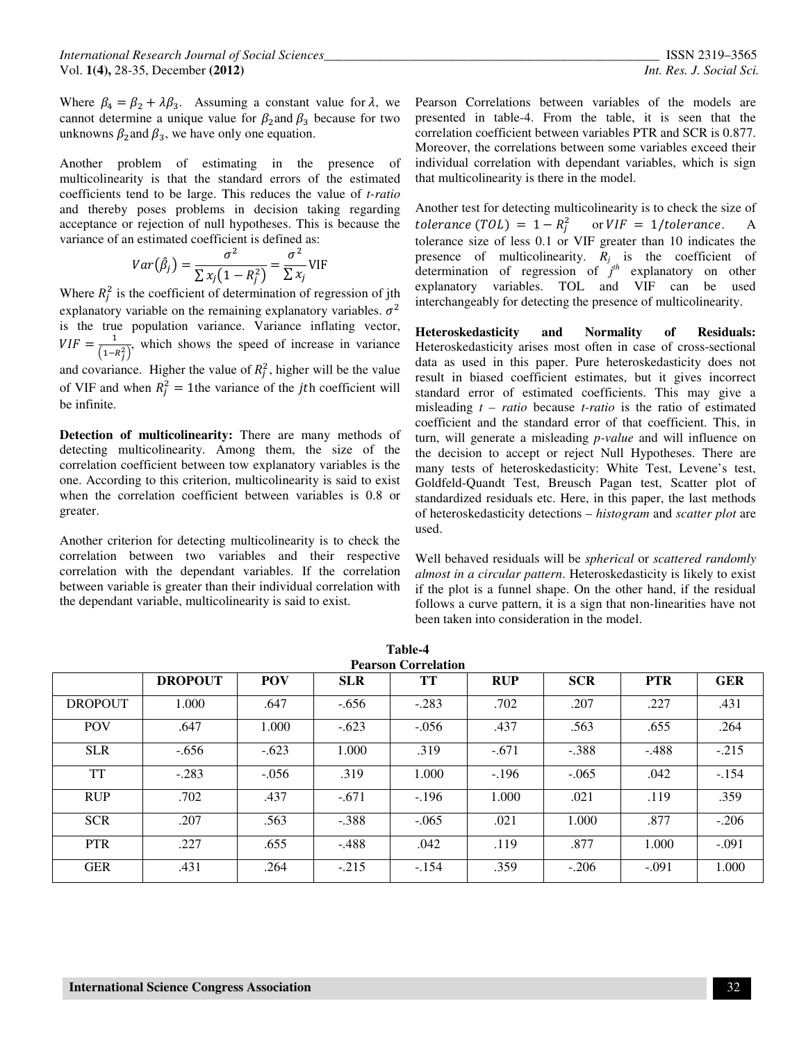Where  $\beta_4 = \beta_2 + \lambda \beta_3$ . Assuming a constant value for  $\lambda$ , we cannot determine a unique value for  $\beta_2$  and  $\beta_3$  because for two unknowns  $\beta_2$  and  $\beta_3$ , we have only one equation.

Another problem of estimating in the presence of multicolinearity is that the standard errors of the estimated coefficients tend to be large. This reduces the value of *t-ratio* and thereby poses problems in decision taking regarding acceptance or rejection of null hypotheses. This is because the variance of an estimated coefficient is defined as:

$$
Var(\hat{\beta}_j) = \frac{\sigma^2}{\sum x_j (1 - R_j^2)} = \frac{\sigma^2}{\sum x_j} \text{VIF}
$$

Where  $R_j^2$  is the coefficient of determination of regression of jth explanatory variable on the remaining explanatory variables.  $\sigma^2$ is the true population variance. Variance inflating vector,  $VIF = \frac{1}{(1-R_j^2)}$ , which shows the speed of increase in variance and covariance. Higher the value of  $R_j^2$ , higher will be the value of VIF and when  $R_j^2 = 1$ the variance of the *j*th coefficient will be infinite.

**Detection of multicolinearity:** There are many methods of detecting multicolinearity. Among them, the size of the correlation coefficient between tow explanatory variables is the one. According to this criterion, multicolinearity is said to exist when the correlation coefficient between variables is 0.8 or greater.

Another criterion for detecting multicolinearity is to check the correlation between two variables and their respective correlation with the dependant variables. If the correlation between variable is greater than their individual correlation with the dependant variable, multicolinearity is said to exist.

Pearson Correlations between variables of the models are presented in table-4. From the table, it is seen that the correlation coefficient between variables PTR and SCR is 0.877. Moreover, the correlations between some variables exceed their individual correlation with dependant variables, which is sign that multicolinearity is there in the model.

Another test for detecting multicolinearity is to check the size of tolerance (TOL) =  $1 - R_j^2$ or  $VIF = 1/tolerance$ . A tolerance size of less 0.1 or VIF greater than 10 indicates the presence of multicolinearity.  $R_j$  is the coefficient of determination of regression of *j th* explanatory on other explanatory variables. TOL and VIF can be used interchangeably for detecting the presence of multicolinearity.

**Heteroskedasticity and Normality of Residuals:**  Heteroskedasticity arises most often in case of cross-sectional data as used in this paper. Pure heteroskedasticity does not result in biased coefficient estimates, but it gives incorrect standard error of estimated coefficients. This may give a misleading *t – ratio* because *t-ratio* is the ratio of estimated coefficient and the standard error of that coefficient. This, in turn, will generate a misleading *p-value* and will influence on the decision to accept or reject Null Hypotheses. There are many tests of heteroskedasticity: White Test, Levene's test, Goldfeld-Quandt Test, Breusch Pagan test, Scatter plot of standardized residuals etc. Here, in this paper, the last methods of heteroskedasticity detections – *histogram* and *scatter plot* are used.

Well behaved residuals will be *spherical* or *scattered randomly almost in a circular pattern*. Heteroskedasticity is likely to exist if the plot is a funnel shape. On the other hand, if the residual follows a curve pattern, it is a sign that non-linearities have not been taken into consideration in the model.

|                | <b>DROPOUT</b> | <b>POV</b> | <b>SLR</b> | TT      | <b>RUP</b> | <b>SCR</b> | <b>PTR</b> | <b>GER</b> |
|----------------|----------------|------------|------------|---------|------------|------------|------------|------------|
| <b>DROPOUT</b> | 1.000          | .647       | $-.656$    | $-.283$ | .702       | .207       | .227       | .431       |
| <b>POV</b>     | .647           | 1.000      | $-.623$    | $-.056$ | .437       | .563       | .655       | .264       |
| <b>SLR</b>     | $-.656$        | $-.623$    | 1.000      | .319    | $-.671$    | $-.388$    | $-.488$    | $-.215$    |
| <b>TT</b>      | $-.283$        | $-.056$    | .319       | 1.000   | $-.196$    | $-.065$    | .042       | $-.154$    |
| <b>RUP</b>     | .702           | .437       | $-.671$    | $-.196$ | 1.000      | .021       | .119       | .359       |
| <b>SCR</b>     | .207           | .563       | $-.388$    | $-.065$ | .021       | 1.000      | .877       | $-.206$    |
| <b>PTR</b>     | .227           | .655       | $-.488$    | .042    | .119       | .877       | 1.000      | $-.091$    |
| <b>GER</b>     | .431           | .264       | $-.215$    | $-.154$ | .359       | $-.206$    | $-.091$    | 1.000      |

**Table-4**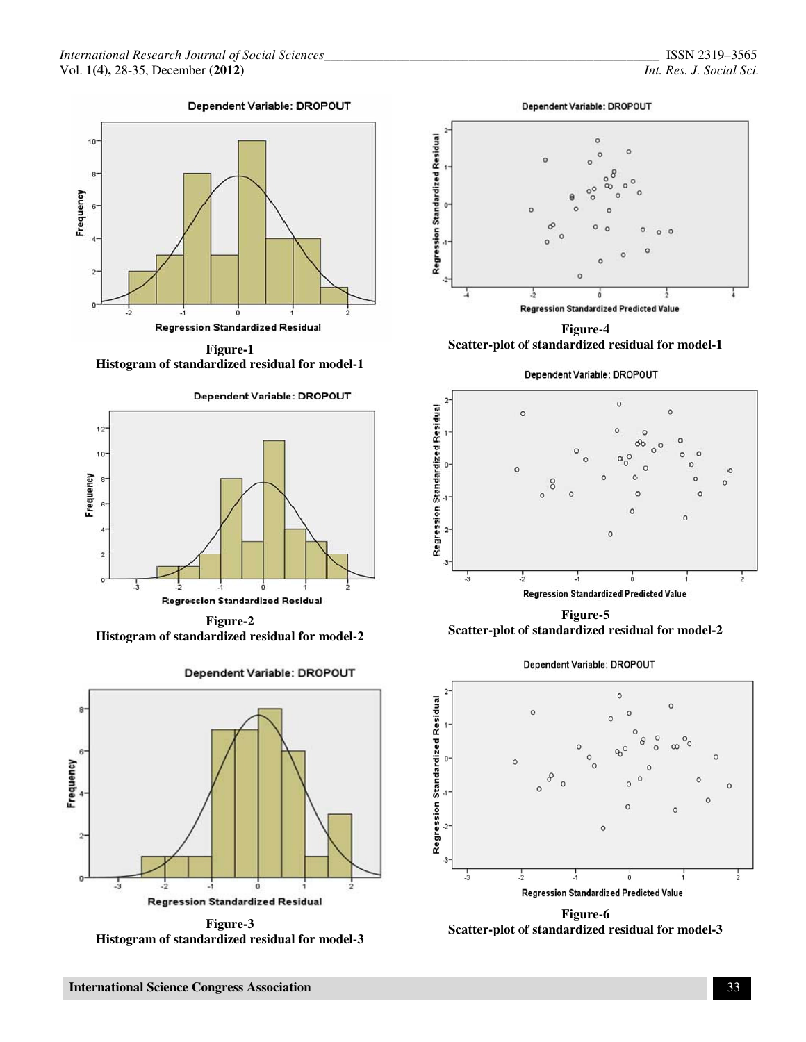



**Histogram of standardized residual for model-1**



**Figure-2 Histogram of standardized residual for model-2** 



**Figure-3 Histogram of standardized residual for model-3** 





**Figure-4 Scatter-plot of standardized residual for model-1** 





**Figure-5 Scatter-plot of standardized residual for model-2** 

Dependent Variable: DROPOUT



**Scatter-plot of standardized residual for model-3**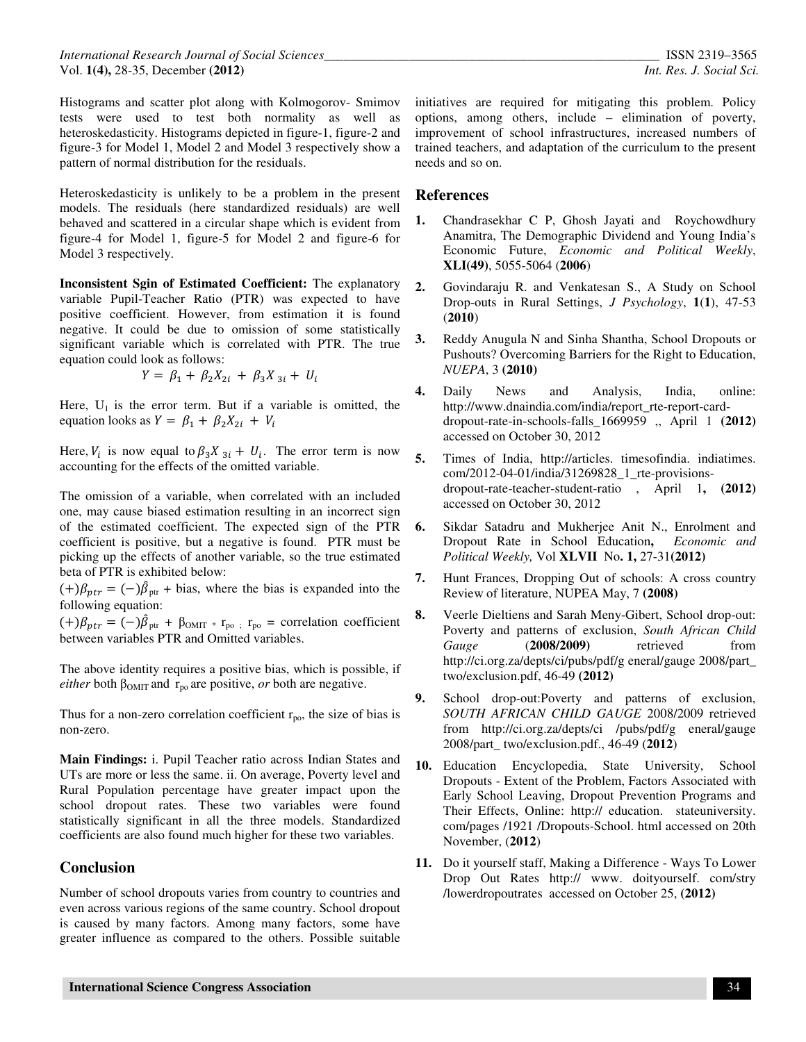*International Research Journal of Social Sciences\_\_\_\_\_\_\_\_\_\_\_\_\_\_\_\_\_\_\_\_\_\_\_\_\_\_\_\_\_\_\_\_\_\_\_\_\_\_\_\_\_\_\_\_\_\_\_\_\_\_\_* ISSN 2319–3565 Vol. **1(4),** 28-35, December **(2012)** *Int. Res. J. Social Sci.*

Histograms and scatter plot along with Kolmogorov- Smimov tests were used to test both normality as well as heteroskedasticity. Histograms depicted in figure-1, figure-2 and figure-3 for Model 1, Model 2 and Model 3 respectively show a pattern of normal distribution for the residuals.

Heteroskedasticity is unlikely to be a problem in the present models. The residuals (here standardized residuals) are well behaved and scattered in a circular shape which is evident from figure-4 for Model 1, figure-5 for Model 2 and figure-6 for Model 3 respectively.

**Inconsistent Sgin of Estimated Coefficient:** The explanatory variable Pupil-Teacher Ratio (PTR) was expected to have positive coefficient. However, from estimation it is found negative. It could be due to omission of some statistically significant variable which is correlated with PTR. The true equation could look as follows:

$$
Y = \beta_1 + \beta_2 X_{2i} + \beta_3 X_{3i} + U_i
$$

Here,  $U_1$  is the error term. But if a variable is omitted, the equation looks as  $Y = \beta_1 + \beta_2 X_{2i} + V_i$ 

Here,  $V_i$  is now equal to  $\beta_3 X_{3i} + U_i$ . The error term is now accounting for the effects of the omitted variable.

The omission of a variable, when correlated with an included one, may cause biased estimation resulting in an incorrect sign of the estimated coefficient. The expected sign of the PTR coefficient is positive, but a negative is found. PTR must be picking up the effects of another variable, so the true estimated beta of PTR is exhibited below:

 $(+)\beta_{ptr} = (-)\hat{\beta}_{ptr} + \text{bias}$ , where the bias is expanded into the following equation:

 $(+)\beta_{ptr} = (-)\hat{\beta}_{ptr} + \beta_{OMIT} * r_{po}$ ;  $r_{po}$  = correlation coefficient between variables PTR and Omitted variables.

The above identity requires a positive bias, which is possible, if *either* both  $\beta_{OMIT}$  and  $r_{po}$  are positive, *or* both are negative.

Thus for a non-zero correlation coefficient  $r_{\text{no}}$ , the size of bias is non-zero.

**Main Findings:** i. Pupil Teacher ratio across Indian States and UTs are more or less the same. ii. On average, Poverty level and Rural Population percentage have greater impact upon the school dropout rates. These two variables were found statistically significant in all the three models. Standardized coefficients are also found much higher for these two variables.

# **Conclusion**

Number of school dropouts varies from country to countries and even across various regions of the same country. School dropout is caused by many factors. Among many factors, some have greater influence as compared to the others. Possible suitable

initiatives are required for mitigating this problem. Policy options, among others, include – elimination of poverty, improvement of school infrastructures, increased numbers of trained teachers, and adaptation of the curriculum to the present needs and so on.

#### **References**

- **1.** Chandrasekhar C P, Ghosh Jayati and Roychowdhury Anamitra, The Demographic Dividend and Young India's Economic Future, *Economic and Political Weekly*, **XLI(49)**, 5055-5064 (**2006**)
- **2.** Govindaraju R. and Venkatesan S., A Study on School Drop-outs in Rural Settings, *J Psychology*, **1**(**1**), 47-53 (**2010**)
- **3.** Reddy Anugula N and Sinha Shantha, School Dropouts or Pushouts? Overcoming Barriers for the Right to Education, *NUEPA*, 3 **(2010)**
- **4.** Daily News and Analysis, India, online: http://www.dnaindia.com/india/report\_rte-report-carddropout-rate-in-schools-falls\_1669959 ,, April 1 **(2012)**  accessed on October 30, 2012
- **5.** Times of India, http://articles. timesofindia. indiatimes. com/2012-04-01/india/31269828\_1\_rte-provisionsdropout-rate-teacher-student-ratio , April 1**, (2012)**  accessed on October 30, 2012
- **6.** Sikdar Satadru and Mukherjee Anit N., Enrolment and Dropout Rate in School Education**,** *Economic and Political Weekly,* Vol **XLVII** No**. 1,** 27-31**(2012)**
- **7.** Hunt Frances, Dropping Out of schools: A cross country Review of literature, NUPEA May, 7 **(2008)**
- **8.** Veerle Dieltiens and Sarah Meny-Gibert, School drop-out: Poverty and patterns of exclusion, *South African Child Gauge* (**2008/2009)** retrieved from http://ci.org.za/depts/ci/pubs/pdf/g eneral/gauge 2008/part\_ two/exclusion.pdf, 46-49 **(2012)**
- **9.** School drop-out:Poverty and patterns of exclusion, *SOUTH AFRICAN CHILD GAUGE* 2008/2009 retrieved from http://ci.org.za/depts/ci /pubs/pdf/g eneral/gauge 2008/part\_ two/exclusion.pdf., 46-49 (**2012**)
- **10.** Education Encyclopedia, State University, School Dropouts - Extent of the Problem, Factors Associated with Early School Leaving, Dropout Prevention Programs and Their Effects, Online: http:// education. stateuniversity. com/pages /1921 /Dropouts-School. html accessed on 20th November, (**2012**)
- **11.** Do it yourself staff, Making a Difference Ways To Lower Drop Out Rates http:// www. doityourself. com/stry /lowerdropoutrates accessed on October 25, **(2012)**